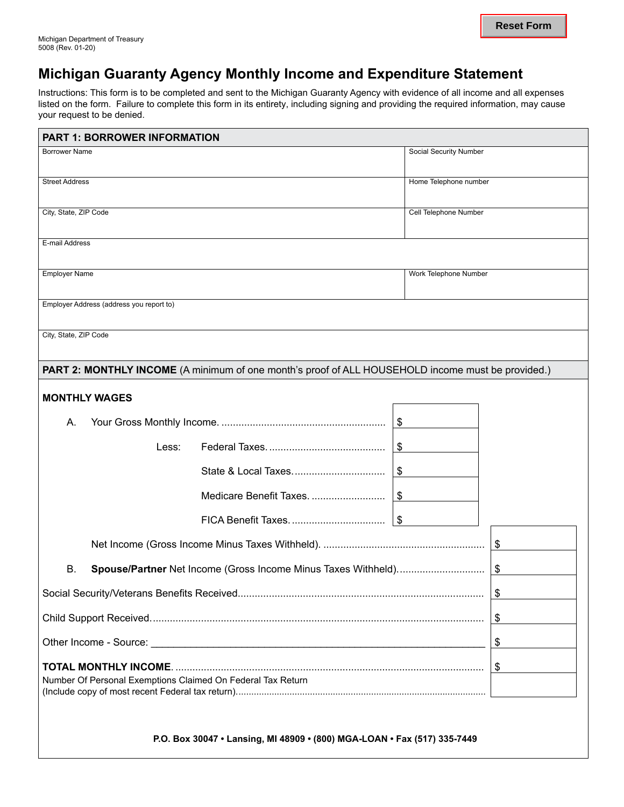## **Michigan Guaranty Agency Monthly Income and Expenditure Statement**

Instructions: This form is to be completed and sent to the Michigan Guaranty Agency with evidence of all income and all expenses listed on the form. Failure to complete this form in its entirety, including signing and providing the required information, may cause your request to be denied.

| <b>PART 1: BORROWER INFORMATION</b>                                                               |                         |                       |  |  |  |  |  |  |
|---------------------------------------------------------------------------------------------------|-------------------------|-----------------------|--|--|--|--|--|--|
| <b>Borrower Name</b>                                                                              | Social Security Number  |                       |  |  |  |  |  |  |
| <b>Street Address</b>                                                                             |                         | Home Telephone number |  |  |  |  |  |  |
| City, State, ZIP Code                                                                             |                         | Cell Telephone Number |  |  |  |  |  |  |
| E-mail Address                                                                                    |                         |                       |  |  |  |  |  |  |
| <b>Employer Name</b>                                                                              |                         | Work Telephone Number |  |  |  |  |  |  |
| Employer Address (address you report to)                                                          |                         |                       |  |  |  |  |  |  |
| City, State, ZIP Code                                                                             |                         |                       |  |  |  |  |  |  |
| PART 2: MONTHLY INCOME (A minimum of one month's proof of ALL HOUSEHOLD income must be provided.) |                         |                       |  |  |  |  |  |  |
| <b>MONTHLY WAGES</b>                                                                              |                         |                       |  |  |  |  |  |  |
| А.                                                                                                | \$                      |                       |  |  |  |  |  |  |
| Less:                                                                                             |                         | \$                    |  |  |  |  |  |  |
|                                                                                                   |                         | \$                    |  |  |  |  |  |  |
|                                                                                                   | Medicare Benefit Taxes. | \$                    |  |  |  |  |  |  |
|                                                                                                   |                         | \$                    |  |  |  |  |  |  |
|                                                                                                   | \$                      |                       |  |  |  |  |  |  |
| В.                                                                                                | \$                      |                       |  |  |  |  |  |  |
|                                                                                                   | \$                      |                       |  |  |  |  |  |  |
|                                                                                                   | \$                      |                       |  |  |  |  |  |  |
| Other Income - Source:                                                                            | \$                      |                       |  |  |  |  |  |  |
| <b>TOTAL MONTHLY INCOME.</b>                                                                      | \$                      |                       |  |  |  |  |  |  |
| Number Of Personal Exemptions Claimed On Federal Tax Return                                       |                         |                       |  |  |  |  |  |  |
|                                                                                                   |                         |                       |  |  |  |  |  |  |

**P.O. Box 30047 • Lansing, MI 48909 • (800) MGA-LOAN • Fax (517) 335-7449**